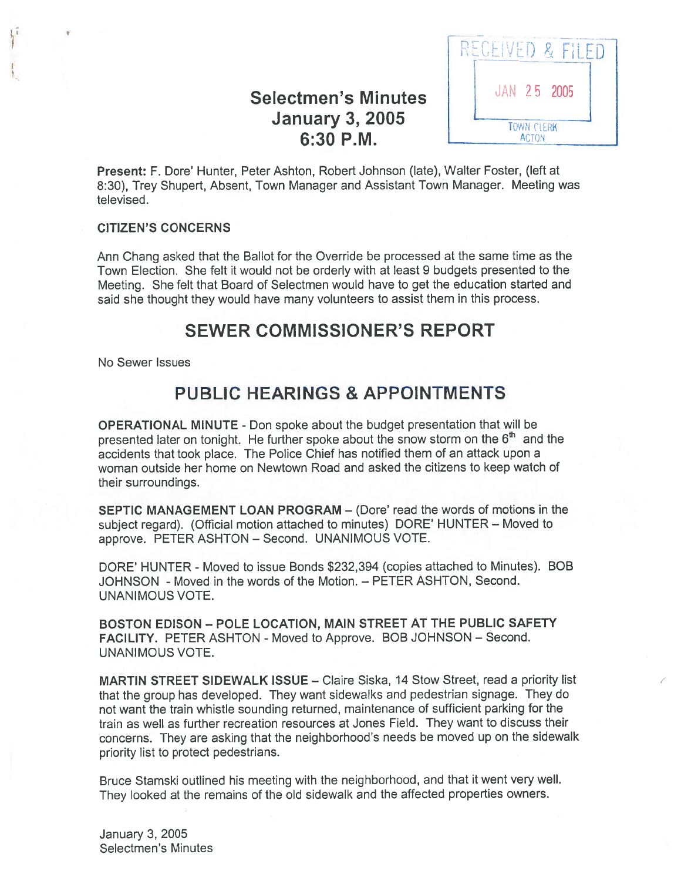# Selectmen's Minutes |  $\frac{1}{2}$  JAN 25 2005 January 3, 2005  $\sqrt{\frac{1}{\text{rowN CI FRK}}}$



Present: F. Dote' Hunter, Peter Ashton, Robert Johnson (late), Walter Foster, (left at 8:30), Trey Shupert, Absent, Town Manager and Assistant Town Manager. Meeting was televised.

### CITIZEN'S CONCERNS

 $\sqrt{\frac{1}{2}}$ 

Ann Chang asked that the Ballot for the Override be processed at the same time as the Town Election. She felt it would not be orderly with at least 9 budgets presented to the Meeting. She felt that Board of Selectmen would have to ge<sup>t</sup> the education started and said she thought they would have many volunteers to assist them in this process.

### SEWER COMMISSIONER'S REPORT

No Sewer Issues

# PUBLIC HEARINGS & APPOINTMENTS

OPERATIONAL MINUTE - Don spoke about the budget presentation that will be presented later on tonight. He further spoke about the snow storm on the  $6<sup>th</sup>$  and the accidents that took <sup>p</sup>lace. The Police Chief has notified them of an attack upon <sup>a</sup> woman outside her home on Newtown Road and asked the citizens to keep watch of their surroundings.

SEPTIC MANAGEMENT LOAN PROGRAM — (Dote' read the words of motions in the subject regard). (Official motion attached to minutes) DORE' HUNTER — Moved to approve. PETER ASHTON — Second. UNANIMOUS VOTE.

DORE' HUNTER - Moved to issue Bonds \$232,394 (copies attached to Minutes). BOB JOHNSON - Moved in the words of the Motion. — PETER ASHTON, Second. UNANIMOUS VOTE.

BOSTON EDISON — POLE LOCATION, MAIN STREET AT THE PUBLIC SAFETY FACILITY. PETER ASHTON - Moved to Approve. BOB JOHNSON — Second. UNANIMOUS VOTE.

MARTIN STREET SIDEWALK ISSUE — Claire Siska, 14 Stow Street, read <sup>a</sup> priority list that the group has developed. They want sidewalks and pedestrian signage. They do not want the train whistle sounding returned, maintenance of sufficient parking for the train as well as further recreation resources at Jones Field. They want to discuss their concerns. They are asking that the neighborhood's needs be moved up on the sidewalk priority list to protect pedestrians.

Bruce Stamski outlined his meeting with the neighborhood, and that it went very well. They looked at the remains of the old sidewalk and the affected properties owners.

January 3, 2005 Selectmen's Minutes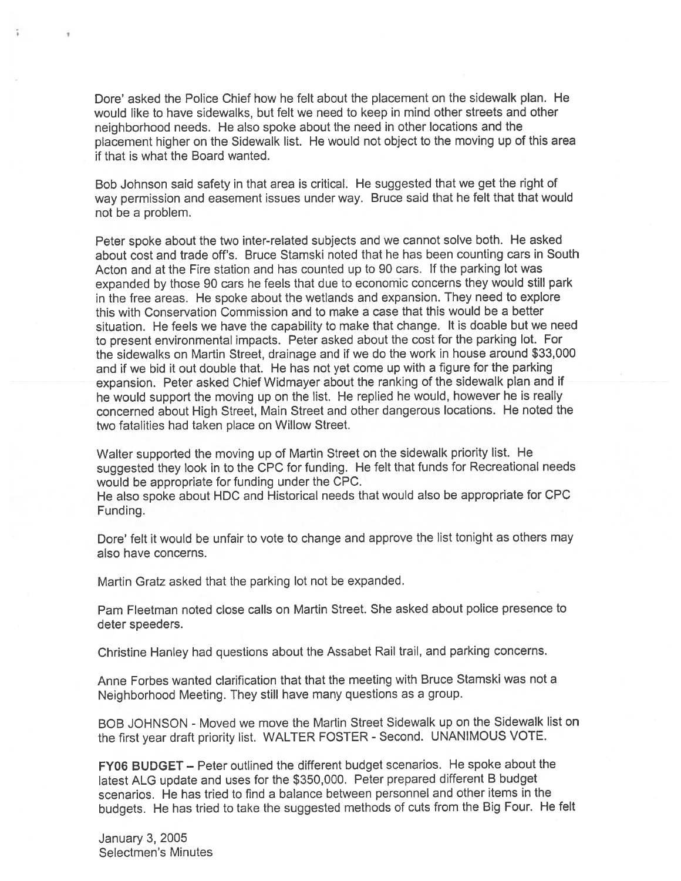Dote' asked the Police Chief how he felt about the placement on the sidewalk plan. He would like to have sidewalks, but felt we need to keep in mind other streets and other neighborhood needs. He also spoke about the need in other locations and the <sup>p</sup>lacement higher on the Sidewalk list. He would not object to the moving up of this area if that is what the Board wanted.

Bob Johnson said safety in that area is critical. He suggested that we ge<sup>t</sup> the right of way permission and easement issues under way. Bruce said that he felt that that would not be <sup>a</sup> problem.

Peter spoke about the two inter-related subjects and we cannot solve both. He asked about cost and trade off's. Bruce Stamski noted that he has been counting cars in South Acton and at the Fire station and has counted up to 90 cars. If the parking lot was expanded by those <sup>90</sup> cars he feels that due to economic concerns they would still par<sup>k</sup> in the free areas. He spoke about the wetlands and expansion. They need to explore this with Conservation Commission and to make <sup>a</sup> case that this would be <sup>a</sup> better situation. He feels we have the capability to make that change. It is doable but we need to presen<sup>t</sup> environmental impacts. Peter asked about the cost for the parking lot. For the sidewalks on Martin Street, drainage and if we do the work in house around \$33,000 and if we bid it out double that. He has not ye<sup>t</sup> come up with <sup>a</sup> figure for the parking expansion. Peter asked Chief Widmayer about the ranking of the sidewalk <sup>p</sup>lan and if he would suppor<sup>t</sup> the moving up on the list. He replied he would, however he is really concerned about High Street, Main Street and other dangerous locations. He noted the two fatalities had taken place on Willow Street.

Walter supported the moving up of Martin Street on the sidewalk priority list. He suggested they look in to the CPC for funding. He felt that funds for Recreational needs would be appropriate for funding under the CPC.

He also spoke about HDC and Historical needs that would also be appropriate for CPC Funding.

Dore' felt it would be unfair to vote to change and approve the list tonight as others may also have concerns.

Martin Gratz asked that the parking lot not be expanded.

Pam Fleetman noted close calls on Martin Street. She asked about police presence to deter speeders.

Christine Hanley had questions about the Assabet Rail trail, and parking concerns.

Anne Forbes wanted clarification that that the meeting with Bruce Stamski was not <sup>a</sup> Neighborhood Meeting. They still have many questions as <sup>a</sup> group.

BOB JOHNSON - Moved we move the Martin Street Sidewalk up on the Sidewalk list on the first year draft priority list. WALTER FOSTER - Second. UNANIMOUS VOTE.

FY06 BUDGET — Peter outlined the different budget scenarios. He spoke about the latest ALG update and uses for the \$350,000. Peter prepare<sup>d</sup> different <sup>B</sup> budget scenarios. He has tried to find <sup>a</sup> balance between personnel and other items in the budgets. He has tried to take the suggested methods of cuts from the Big Four. He felt

January 3, 2005 Selectmen's Minutes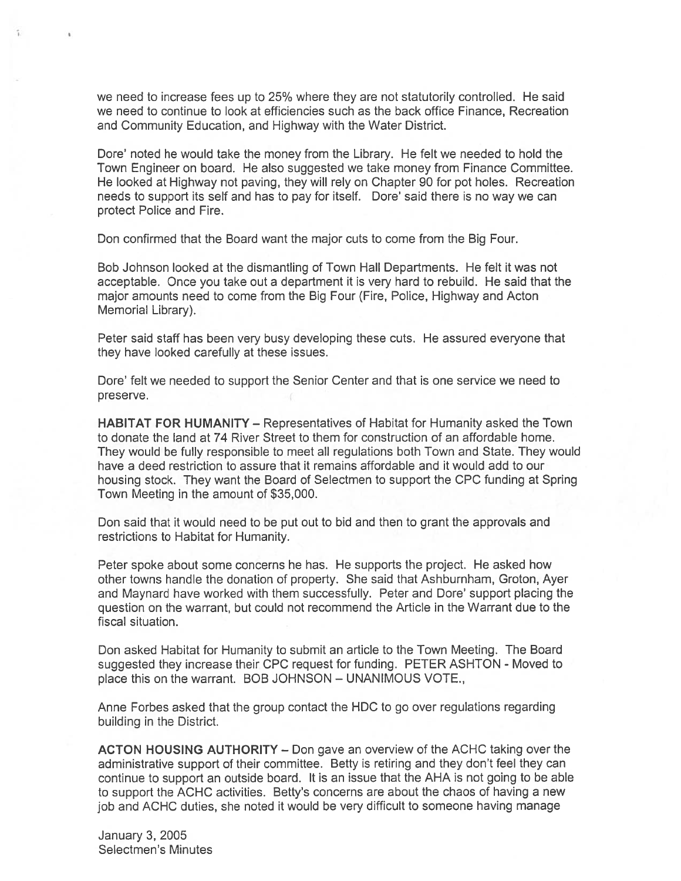we need to increase fees up to 25% where they are not statutorily controlled. He said we need to continue to look at efficiencies such as the back office Finance, Recreation and Community Education, and Highway with the Water District.

Dore' noted he would take the money from the Library. He felt we needed to hold the Town Engineer on board. He also suggested we take money from Finance Committee. He looked at Highway not paving, they will rely on Chapter 90 for po<sup>t</sup> holes. Recreation needs to suppor<sup>t</sup> its self and has to pay for itself. Dore' said there is no way we can protect Police and Fire.

Don confirmed that the Board want the major cuts to come from the Big Four.

Bob Johnson looked at the dismantling of Town Hall Departments. He felt it was not acceptable. Once you take out <sup>a</sup> department it is very hard to rebuild. He said that the major amounts need to come from the Big Four (Fire, Police, Highway and Acton Memorial Library).

Peter said staff has been very busy developing these cuts. He assured everyone that they have looked carefully at these issues.

Dote' felt we needed to suppor<sup>t</sup> the Senior Center and that is one service we need to preserve.

HABITAT FOR HUMANITY — Representatives of Habitat for Humanity asked the Town to donate the land at 74 River Street to them for construction of an affordable home. They would be fully responsible to meet all regulations both Town and State. They would have <sup>a</sup> deed restriction to assure that it remains affordable and it would add to our housing stock. They want the Board of Selectmen to suppor<sup>t</sup> the CPC funding at Spring Town Meeting in the amount of \$35,000.

Don said that it would need to be pu<sup>t</sup> out to bid and then to gran<sup>t</sup> the approvals and restrictions to Habitat for Humanity.

Peter spoke about some concerns he has. He supports the project. He asked how other towns handle the donation of property. She said that Ashburnham, Groton, Ayer and Maynard have worked with them successfully. Peter and Dore' suppor<sup>t</sup> placing the question on the warrant, but could not recommend the Article in the Warrant due to the fiscal situation.

Don asked Habitat for Humanity to submit an article to the Town Meeting. The Board suggested they increase their CPC request for funding. PETER ASHTON - Moved to place this on the warrant. BOB JOHNSON — UNANIMOUS VOTE.,

Anne Forbes asked that the group contact the HDC to go over regulations regarding building in the District.

ACTON HOUSING AUTHORITY — Don gave an overview of the ACHC taking over the administrative suppor<sup>t</sup> of their committee. Betty is retiring and they don't feel they can continue to suppor<sup>t</sup> an outside board. It is an issue that the AHA is not going to be able to suppor<sup>t</sup> the ACHC activities. Betty's concerns are about the chaos of having <sup>a</sup> new job and ACHC duties, she noted it would be very difficult to someone having manage

January 3, 2005 Selectmen's Minutes

 $\mathbf{A}^{\prime}$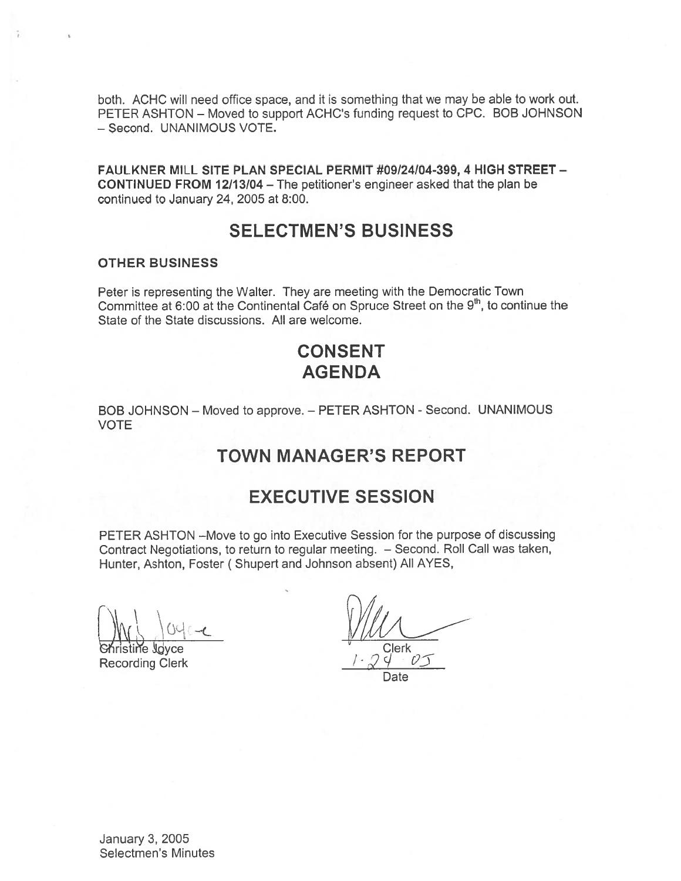both. ACHC will need office space, and it is something that we may be able to work out. PETER ASHTON — Moved to suppor<sup>t</sup> ACHC's funding reques<sup>t</sup> to CPC. BOB JOHNSON — Second. UNANIMOUS VOTE.

FAULKNER MILL SITE PLAN SPECIAL PERMIT #09/24/04-399, 4 HIGH STREET — CONTINUED FROM 12/13/04 — The petitioner's engineer asked that the plan be continued to January 24, 2005 at 8:00.

# SELECTMEN'S BUSINESS

### OTHER BUSINESS

Ÿ.

Peter is representing the Walter. They are meeting with the Democratic Town Committee at 6:00 at the Continental Café on Spruce Street on the 9<sup>th</sup>, to continue the State of the State discussions. All are welcome.

# CONSENT AGENDA

BOB JOHNSON — Moved to approve. — PETER ASHTON - Second. UNANIMOUS VOTE

# TOWN MANAGER'S REPORT

### EXECUTIVE SESSION

PETER ASHTON —Move to go into Executive Session for the purpose of discussing Contract Negotiations, to return to regular meeting. — Second. Roll Call was taken, Hunter, Ashton, Foster ( Shupert and Johnson absent) All AYES,

ristine Joyce Clerk

Recording Clerk

Date

January 3, 2005 Selectmen's Minutes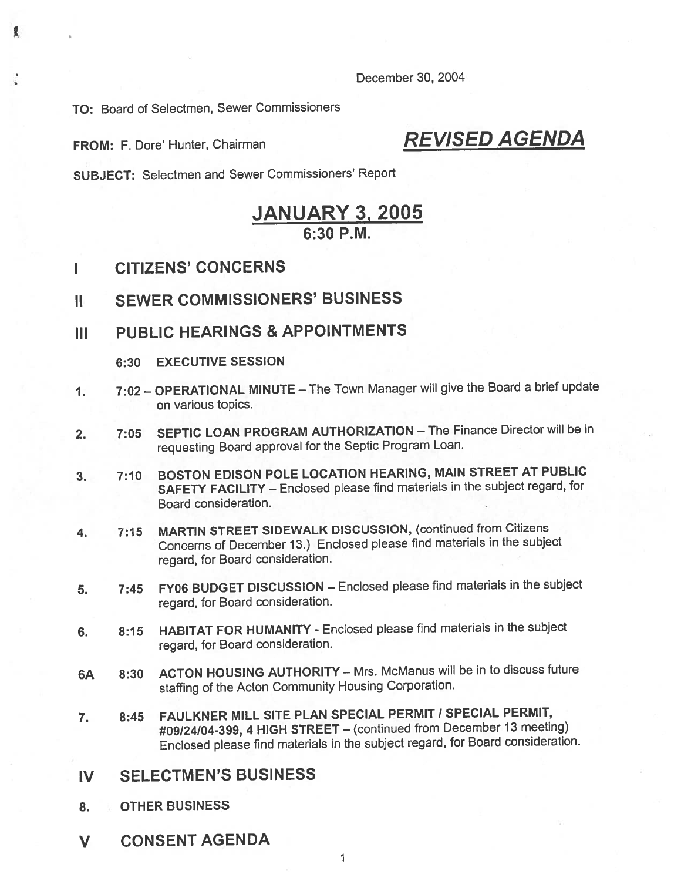December 30, 2004

TO: Board of Selectmen, Sewer Commissioners

£

FROM: F. Dore' Hunter, Chairman REVISED AGENDA

SUBJECT: Selectmen and Sewer Commissioners' Report

# JANUARY 3, 2005 6:30 P.M.

- I CITIZENS' CONCERNS
- II SEWER COMMISSIONERS' BUSINESS
- III PUBLIC HEARINGS & APPOINTMENTS
	- 6:30 EXECUTIVE SESSION
- 1. 7:02 OPERATIONAL MINUTE The Town Manager will <sup>g</sup>ive the Board <sup>a</sup> brief update on various topics.
- 2. 7:05 SEPTIC LOAN PROGRAM AUTHORIZATION The Finance Director will be in requesting Board approva<sup>l</sup> for the Septic Program Loan.
- 3. 7:10 BOSTON EDISON POLE LOCATION HEARING, MAIN STREET AT PUBLIC SAFETY FACILITY — Enclosed <sup>p</sup>lease find materials in the subject regard, for Board consideration.
- 4. 7:15 MARTIN STREET SIDEWALK DISCUSSION, (continued from Citizens Concerns of December 13.) Enclosed <sup>p</sup>lease find materials in the subject regard, for Board consideration.
- 5. 7:45 FY06 BUDGET DISCUSSION Enclosed <sup>p</sup>lease find materials in the subject regard, for Board consideration.
- 6. 8:15 HABITAT FOR HUMANiTY Enclosed <sup>p</sup>lease find materials in the subject regard, for Board consideration.
- 6A 8:30 ACTON HOUSING AUTHORITY Mrs. McManus will be in to discuss future staffing of the Acton Community Housing Corporation.
- 7. 8:45 FAULKNER MILL SITE PLAN SPECIAL PERMIT / SPECIAL PERMIT, #09/24/04-399,4 HIGH STREET— (continued from December13 meeting) Enclosed <sup>p</sup>lease find materials in the subject regard, for Board consideration.
- IV SELECTMEN'S BUSINESS
- 8. OTHER BUSINESS
- V CONSENT AGENDA

1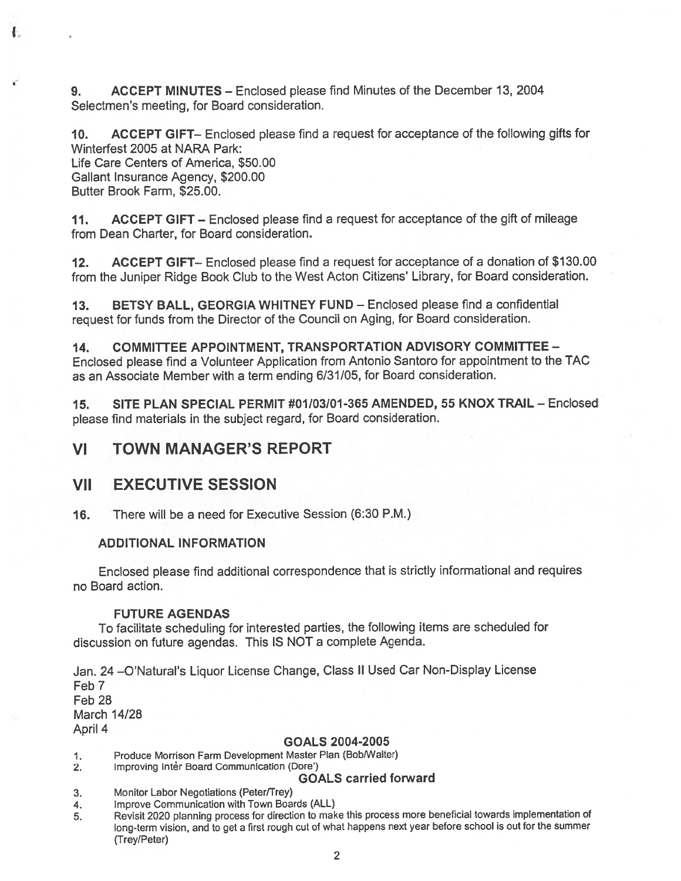9. ACCEPT MINUTES — Enclosed please find Minutes of the December 13, 2004 Selectmen's meeting, for Board consideration.

10. ACCEPT GIFT— Enclosed <sup>p</sup>lease find <sup>a</sup> reques<sup>t</sup> for acceptance of the following <sup>g</sup>ifts for Winterfest 2005 at NARA Park: Life Care Centers of America, \$50.00 Gallant Insurance Agency, \$200.00 Butter Brook Farm, \$25.00.

11. ACCEPT GIFT — Enclosed please find <sup>a</sup> reques<sup>t</sup> for acceptance of the gift of mileage from Dean Charter, for Board consideration.

12. ACCEPT GIFT— Enclosed <sup>p</sup>lease find <sup>a</sup> reques<sup>t</sup> for acceptance of <sup>a</sup> donation of \$130.00 from the Juniper Ridge Book Club to the West Acton Citizens' Library, for Board consideration.

13. BETSY BALL, GEORGIA WHITNEY FUND — Enclosed please find <sup>a</sup> confidential reques<sup>t</sup> for funds from the Director of the Council on Aging, for Board consideration.

14. COMMITTEE APPOINTMENT, TRANSPORTATION ADVISORY COMMITTEE — Enclosed <sup>p</sup>lease find <sup>a</sup> Volunteer Application from Antonio Santoro for appointment to the TAC as an Associate Member with <sup>a</sup> term ending 6/31/05, for Board consideration.

15. SITE PLAN SPECIAL PERMIT #01/03/01 -365 AMENDED, 55 KNOX TRAIL — Enclosed <sup>p</sup>lease find materials in the subject regard, for Board consideration.

### VI TOWN MANAGER'S REPORT

### VII EXECUTIVE SESSION

Ł.

16. There will be <sup>a</sup> need for Executive Session (6:30 P.M.)

### ADDITIONAL INFORMATION

Enclosed <sup>p</sup>lease find additional correspondence that is strictly informational and requires no Board action.

### FUTURE AGENDAS

To facilitate scheduling for interested parties, the following items are scheduled for discussion on future agendas. This IS NOT <sup>a</sup> complete Agenda.

Jan. <sup>24</sup> —O'Natural's Liquor License Change, Class II Used Car Non-Display License Feb 7 Feb 28 March 14/28 April 4

#### GOALS 2004-2005

1. Produce Morrison Farm Development Master Plan (Bob/Walter)

2. Improving Inter Board Communication (Dore')

### GOALS carried forward

3. Monitor Labor Negotiations (Peter/Trey)

- 4. Improve Communication with Town Boards (ALL)
- 5. Revisit <sup>2020</sup> <sup>p</sup>lanning process for direction to make this process more beneficial towards implementation of long-term vision, and to ge<sup>t</sup> <sup>a</sup> first roug<sup>h</sup> cut of what happens next year before school is out for the summer (Trey/Peter)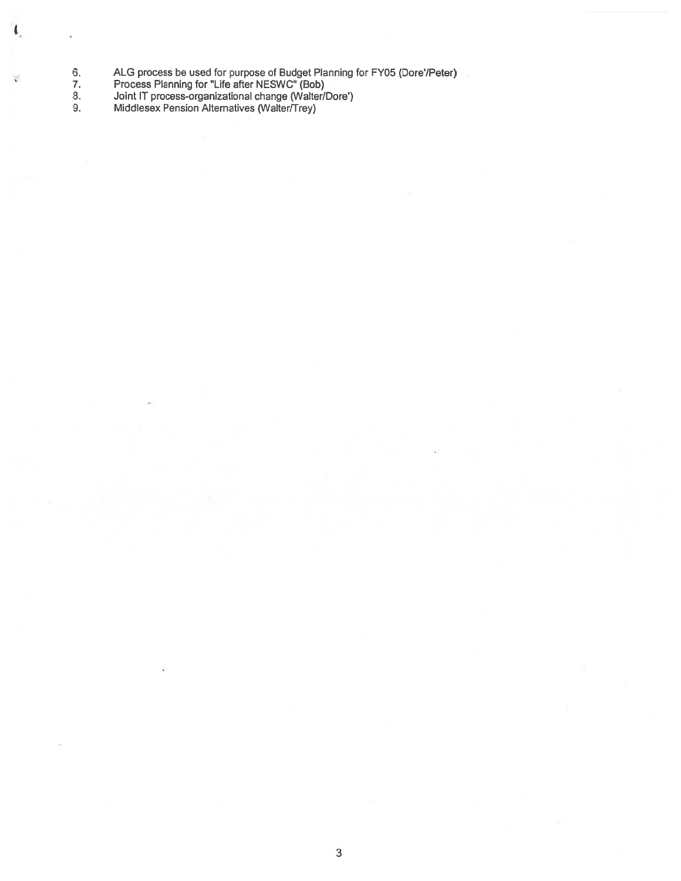- 6. ALG process be used for purpose of Budget Planning for FY05 (Dore/Peter)
- 7. Process Planning for Life after NESWC" (Bob)

 $\mathbf{L}$ 

 $\vee$ 

- 8. Joint IT process-organizational change (Walter/Dote')
- 9. Middlesex Pension Alternatives (Walter/Trey)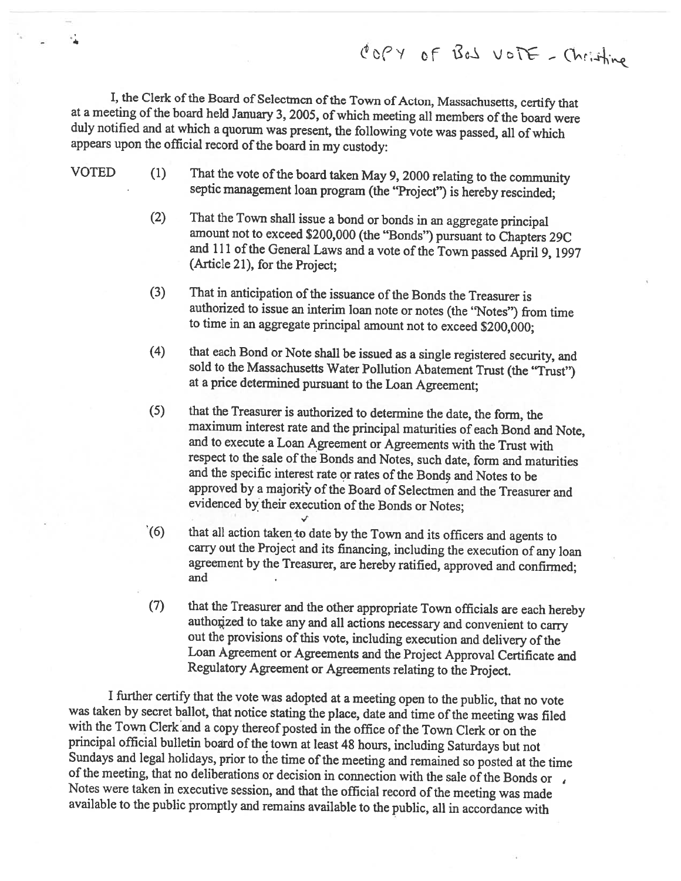I, the Clerk of the Board of Selectmen of the Town of Acton, Massachusetts, certify that at a meeting of the board held January 3, 2005, of which meeting all members of the board were duly notified and at which a quorum wa appears upon the official record of the board in my custody:

4

VOTED (1) That the vote of the board taken May 9, 2000 relating to the community septic management loan program (the "Project") is hereby rescinded;

- (2) That the Town shall issue a bond or bonds in an aggregate principal amount not to exceed \$200,000 (the "Bonds") pursuant to Chapters 29C and 111 of the General Laws and a vote of the Town passed April 9, 1997 (Article 21), for the Project;
- (3) That in anticipation of the issuance of the Bonds the Treasurer is authorized to issue an interim loan note or notes (the "Notes") from time to time in an aggregate principal amount not to exceed \$200,000;
- (4) that each Bond or Note shall be issued as <sup>a</sup> single registered security, and sold to the Massachusetts Water Pollution Abatement Trust (the "Trust") at <sup>a</sup> price determined pursuant to the Loan Agreement;
- (5) that the Treasurer is authorized to determine the date, the form, the maximum interest rate and the principal maturities of each Bond and Note, and to execute <sup>a</sup> Loan Agreement or Agreements with the Trust with respect to the sale of the Bonds and Notes, such date, form and maturities and the specific interest rate or rates of the Bonds and Notes to be approved by a majority of the Board of Selectmen and the Treasurer and evidenced by their execution of the Bonds or Notes;
- (6) that all action taken to date by the Town and its officers and agents to carry out the Project and its financing, including the execution of any loan agreement by the Treasurer, are hereby ratified, approved and confirmed; and
- (7) that the Treasurer and the other appropriate Town officials are each hereby authorized to take any and all actions necessary and convenient to carry out the provisions of this vote, including execution and delivery of the Loan Agreement or Agreements and the Project Approval Certificate and Regulatory Agreement or Agreements relating to the Project.

<sup>I</sup> further certify that the vote was adopted at <sup>a</sup> meeting open to the public, that no vote was taken by secret ballot, that notice stating the place, date and time of the meeting was filed with the Town Clerk and a copy thereof posted in the office of the Town Clerk or on the principal official bulletin board of Sundays and legal holidays, prior to the time of the meeting and remained so posted at the time<br>of the meeting, that no deliberations or decision in connection with the sale of the Bonds or<br>Notes were taken in executive se available to the public promptly and remains available to the public, all in accordance with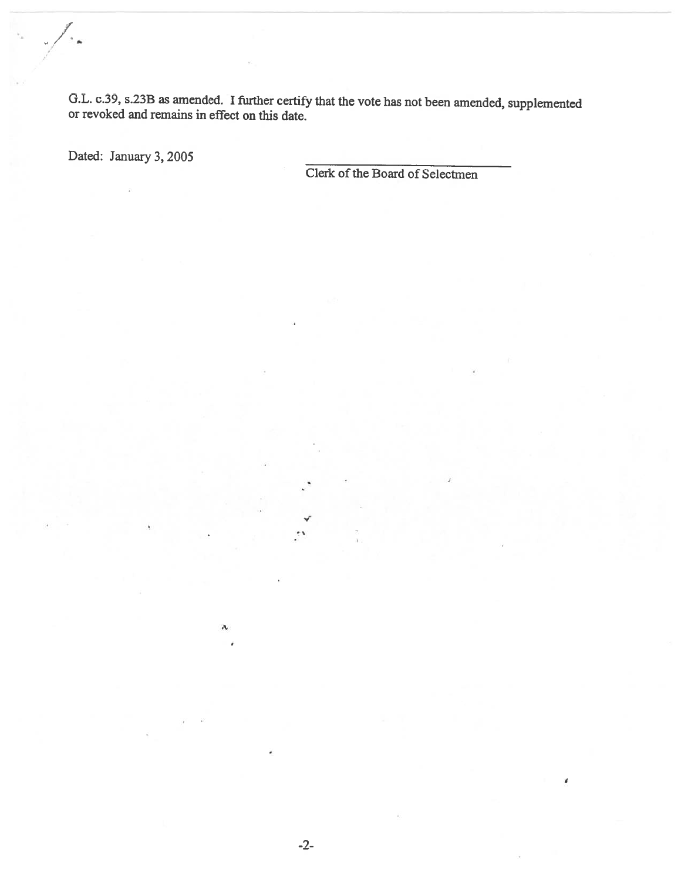G.L. c.39, s.233 as amended. <sup>I</sup> further certify that the vote has not been amended, supplemented or revoked and remains in effect on this date.

Dated: January 3, 2005

/

Clerk of the Board of Selectmen

 $\mathcal{N}_\mathrm{c}$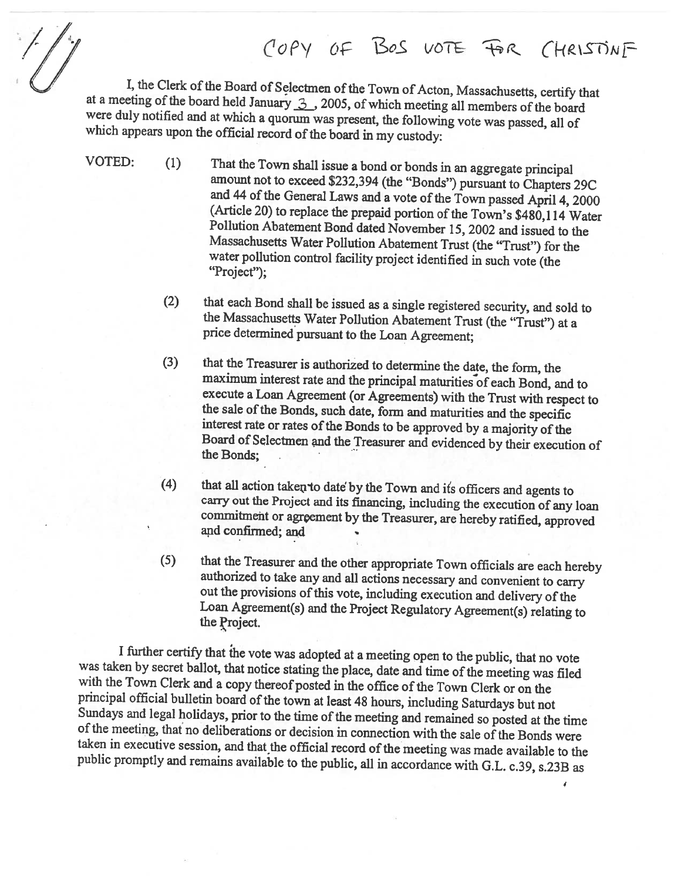C'OPY OF BOS VOTE FOR CHRISTINF

I, the Clerk of the Board of Selectmen of the Town of Acton, Massachusetts, certify that<br>at a meeting of the board held January  $\frac{3}{2}$ , 2005, of which meeting all members of the board<br>were duly notified and at which a

- VOTED: (1) That the Town shall issue a bond or bonds in an aggregate principal<br>amount not to exceed \$232,394 (the "Bonds") pursuant to Chapters 29C<br>and 44 of the General Laws and a vote of the Town passed April 4, 2000<br>(Ar Massachusetts Water Pollution Abatement Trust (the "Trust") for the water pollution control facility project identified in such vote (the "Project");
	- (2) that each Bond shall be issued as <sup>a</sup> single registered security, and sold to the Massachusetts Water Pollution Abatement Trust (the "Trust") at <sup>a</sup> price determined pursuant to the Loan Agreement;
	- (3) that the Treasurer is authorized to determine the date, the form, the maximum interest rate and the principal maturities of each Bond, and to execute a Loan Agreement (or Agreements) with the Trust with respect to the sale of the Bonds, such date, form and maturities and the specific<br>interest rate or rates of the Bonds to be approved by a majority of the<br>Board of Selectmen and the Treasurer and evidenced by their execution of<br>the Bo
	- (4) that all action taken to date by the Town and its officers and agents to carry out the Project and its financing, including the execution of any loan commitment or agreement by the Treasurer, are hereby ratified, approved and confirmed; and
	- (5) that the Treasurer and the other appropriate Town officials are each hereby authorized to take any and all actions necessary and convenient to carry out the provisions of this vote, including execution and delivery of

I further certify that the vote was adopted at a meeting open to the public, that no vote was taken by secret ballot, that notice stating the place, date and time of the meeting was filed with the Town Clerk and a copy thereof posted in the office of the Town Clerk or on the principal official bulletin board of Sundays and legal holidays, prior to the time of the meeting and remained so posted at the time<br>of the meeting, that no deliberations or decision in connection with the sale of the Bonds were<br>taken in executive session, an